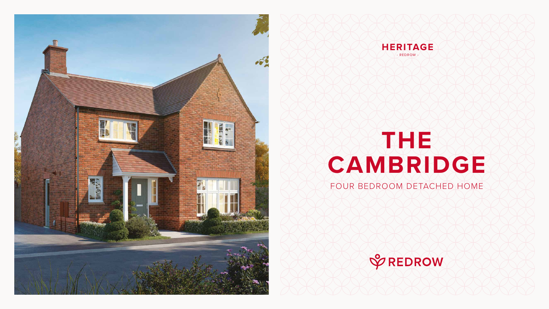# **THE CAMBRIDGE**

#### FOUR BEDROOM DETACHED HOME







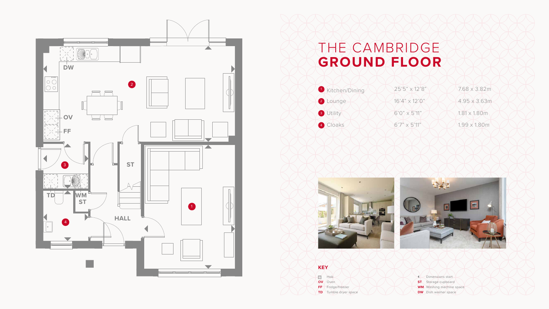## THE CAMBRIDGE **GROUND FLOOR**

**BOO** Hob **OV** Oven

**FF** Fridge/freezer







#### **KEY**

**TD** Tumble dryer space

Dimensions start **ST** Storage cupboard **WM** Washing machine space **DW** Dish washer space